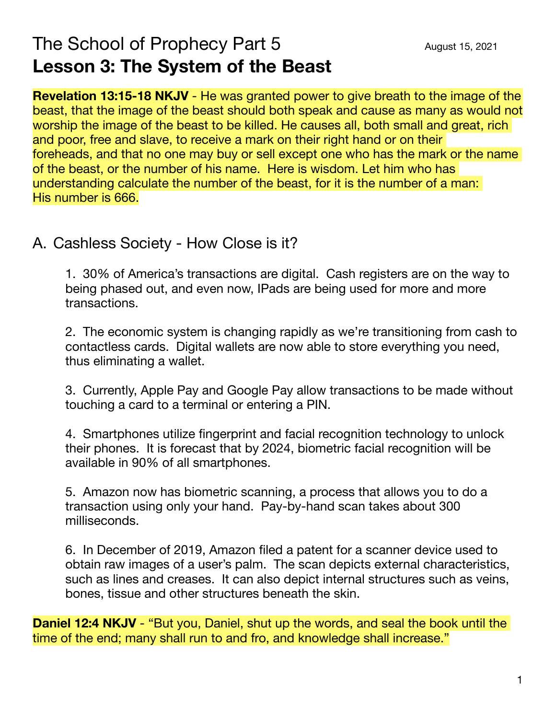# The School of Prophecy Part 5 **Lesson 3: The System of the Beast**

**Revelation 13:15-18 NKJV** - He was granted power to give breath to the image of the beast, that the image of the beast should both speak and cause as many as would not worship the image of the beast to be killed. He causes all, both small and great, rich and poor, free and slave, to receive a mark on their right hand or on their foreheads, and that no one may buy or sell except one who has the mark or the name of the beast, or the number of his name. Here is wisdom. Let him who has understanding calculate the number of the beast, for it is the number of a man: His number is 666.

## A. Cashless Society - How Close is it?

1. 30% of America's transactions are digital. Cash registers are on the way to being phased out, and even now, IPads are being used for more and more transactions.

2. The economic system is changing rapidly as we're transitioning from cash to contactless cards. Digital wallets are now able to store everything you need, thus eliminating a wallet.

3. Currently, Apple Pay and Google Pay allow transactions to be made without touching a card to a terminal or entering a PIN.

4. Smartphones utilize fingerprint and facial recognition technology to unlock their phones. It is forecast that by 2024, biometric facial recognition will be available in 90% of all smartphones.

5. Amazon now has biometric scanning, a process that allows you to do a transaction using only your hand. Pay-by-hand scan takes about 300 milliseconds.

6. In December of 2019, Amazon filed a patent for a scanner device used to obtain raw images of a user's palm. The scan depicts external characteristics, such as lines and creases. It can also depict internal structures such as veins, bones, tissue and other structures beneath the skin.

**Daniel 12:4 NKJV** - "But you, Daniel, shut up the words, and seal the book until the time of the end; many shall run to and fro, and knowledge shall increase."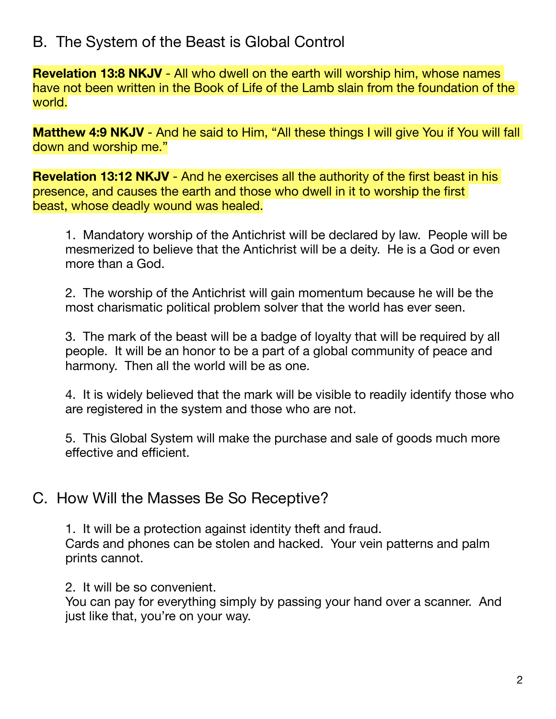# B. The System of the Beast is Global Control

**Revelation 13:8 NKJV** - All who dwell on the earth will worship him, whose names have not been written in the Book of Life of the Lamb slain from the foundation of the world.

**Matthew 4:9 NKJV** - And he said to Him, "All these things I will give You if You will fall down and worship me."

**Revelation 13:12 NKJV** - And he exercises all the authority of the first beast in his presence, and causes the earth and those who dwell in it to worship the first beast, whose deadly wound was healed.

1. Mandatory worship of the Antichrist will be declared by law. People will be mesmerized to believe that the Antichrist will be a deity. He is a God or even more than a God.

2. The worship of the Antichrist will gain momentum because he will be the most charismatic political problem solver that the world has ever seen.

3. The mark of the beast will be a badge of loyalty that will be required by all people. It will be an honor to be a part of a global community of peace and harmony. Then all the world will be as one.

4. It is widely believed that the mark will be visible to readily identify those who are registered in the system and those who are not.

5. This Global System will make the purchase and sale of goods much more effective and efficient.

#### C. How Will the Masses Be So Receptive?

1. It will be a protection against identity theft and fraud. Cards and phones can be stolen and hacked. Your vein patterns and palm prints cannot.

2. It will be so convenient.

You can pay for everything simply by passing your hand over a scanner. And just like that, you're on your way.